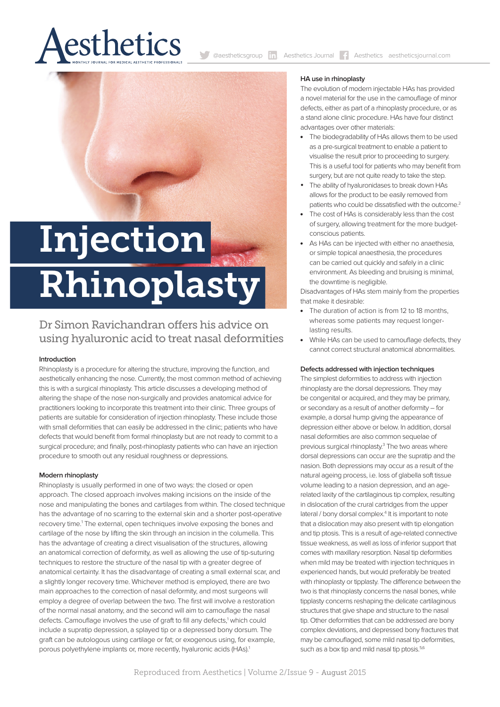

@aestheticsgroup **in** Aesthetics Journal **A**esthetics aestheticsjournal.com

# Injection Rhinoplasty

# Dr Simon Ravichandran offers his advice on using hyaluronic acid to treat nasal deformities

# **Introduction**

Rhinoplasty is a procedure for altering the structure, improving the function, and aesthetically enhancing the nose. Currently, the most common method of achieving this is with a surgical rhinoplasty. This article discusses a developing method of altering the shape of the nose non-surgically and provides anatomical advice for practitioners looking to incorporate this treatment into their clinic. Three groups of patients are suitable for consideration of injection rhinoplasty. These include those with small deformities that can easily be addressed in the clinic; patients who have defects that would benefit from formal rhinoplasty but are not ready to commit to a surgical procedure; and finally, post-rhinoplasty patients who can have an injection procedure to smooth out any residual roughness or depressions.

# **Modern rhinoplasty**

Rhinoplasty is usually performed in one of two ways: the closed or open approach. The closed approach involves making incisions on the inside of the nose and manipulating the bones and cartilages from within. The closed technique has the advantage of no scarring to the external skin and a shorter post-operative recovery time.<sup>1</sup> The external, open techniques involve exposing the bones and cartilage of the nose by lifting the skin through an incision in the columella. This has the advantage of creating a direct visualisation of the structures, allowing an anatomical correction of deformity, as well as allowing the use of tip-suturing techniques to restore the structure of the nasal tip with a greater degree of anatomical certainty. It has the disadvantage of creating a small external scar, and a slightly longer recovery time. Whichever method is employed, there are two main approaches to the correction of nasal deformity, and most surgeons will employ a degree of overlap between the two. The first will involve a restoration of the normal nasal anatomy, and the second will aim to camouflage the nasal defects. Camouflage involves the use of graft to fill any defects,<sup>1</sup> which could include a supratip depression, a splayed tip or a depressed bony dorsum. The graft can be autologous using cartilage or fat; or exogenous using, for example, porous polyethylene implants or, more recently, hyaluronic acids (HAs).<sup>1</sup>

#### **HA use in rhinoplasty**

The evolution of modern injectable HAs has provided a novel material for the use in the camouflage of minor defects, either as part of a rhinoplasty procedure, or as a stand alone clinic procedure. HAs have four distinct advantages over other materials:

- The biodegradability of HAs allows them to be used as a pre-surgical treatment to enable a patient to visualise the result prior to proceeding to surgery. This is a useful tool for patients who may benefit from surgery, but are not quite ready to take the step.
- The ability of hyaluronidases to break down HAs allows for the product to be easily removed from patients who could be dissatisfied with the outcome.<sup>2</sup>
- The cost of HAs is considerably less than the cost of surgery, allowing treatment for the more budgetconscious patients.
- As HAs can be injected with either no anaethesia. or simple topical anaesthesia, the procedures can be carried out quickly and safely in a clinic environment. As bleeding and bruising is minimal, the downtime is negligible.

Disadvantages of HAs stem mainly from the properties that make it desirable:

- The duration of action is from 12 to 18 months, whereas some patients may request longerlasting results.
- While HAs can be used to camouflage defects, they cannot correct structural anatomical abnormalities.

#### **Defects addressed with injection techniques**

The simplest deformities to address with injection rhinoplasty are the dorsal depressions. They may be congenital or acquired, and they may be primary, or secondary as a result of another deformity – for example, a dorsal hump giving the appearance of depression either above or below. In addition, dorsal nasal deformities are also common sequelae of previous surgical rhinoplasty.<sup>3</sup> The two areas where dorsal depressions can occur are the supratip and the nasion. Both depressions may occur as a result of the natural ageing process, i.e. loss of glabella soft tissue volume leading to a nasion depression, and an agerelated laxity of the cartilaginous tip complex, resulting in dislocation of the crural cartridges from the upper lateral / bony dorsal complex.<sup>4</sup> It is important to note that a dislocation may also present with tip elongation and tip ptosis. This is a result of age-related connective tissue weakness, as well as loss of inferior support that comes with maxillary resorption. Nasal tip deformities when mild may be treated with injection techniques in experienced hands, but would preferably be treated with rhinoplasty or tipplasty. The difference between the two is that rhinoplasty concerns the nasal bones, while tipplasty concerns reshaping the delicate cartilaginous structures that give shape and structure to the nasal tip. Other deformities that can be addressed are bony complex deviations, and depressed bony fractures that may be camouflaged, some mild nasal tip deformities, such as a box tip and mild nasal tip ptosis.<sup>5,6</sup>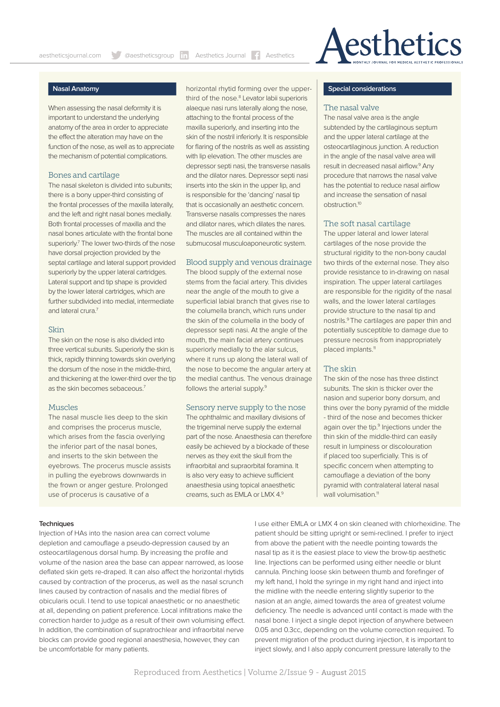

# **Nasal Anatomy**

When assessing the nasal deformity it is important to understand the underlying anatomy of the area in order to appreciate the effect the alteration may have on the function of the nose, as well as to appreciate the mechanism of potential complications.

#### Bones and cartilage

The nasal skeleton is divided into subunits; there is a bony upper-third consisting of the frontal processes of the maxilla laterally, and the left and right nasal bones medially. Both frontal processes of maxilla and the nasal bones articulate with the frontal bone superiorly.<sup>7</sup> The lower two-thirds of the nose have dorsal projection provided by the septal cartilage and lateral support provided superiorly by the upper lateral cartridges. Lateral support and tip shape is provided by the lower lateral cartridges, which are further subdivided into medial, intermediate and lateral crura.7

#### Skin

The skin on the nose is also divided into three vertical subunits. Superiorly the skin is thick, rapidly thinning towards skin overlying the dorsum of the nose in the middle-third, and thickening at the lower-third over the tip as the skin becomes sebaceous.7

#### Muscles

The nasal muscle lies deep to the skin and comprises the procerus muscle, which arises from the fascia overlying the inferior part of the nasal bones, and inserts to the skin between the eyebrows. The procerus muscle assists in pulling the eyebrows downwards in the frown or anger gesture. Prolonged use of procerus is causative of a

horizontal rhytid forming over the upperthird of the nose.<sup>8</sup> Levator labii superioris alaeque nasi runs laterally along the nose, attaching to the frontal process of the maxilla superiorly, and inserting into the skin of the nostril inferiorly. It is responsible for flaring of the nostrils as well as assisting with lip elevation. The other muscles are depressor septi nasi, the transverse nasalis and the dilator nares. Depressor septi nasi inserts into the skin in the upper lip, and is responsible for the 'dancing' nasal tip that is occasionally an aesthetic concern. Transverse nasalis compresses the nares and dilator nares, which dilates the nares. The muscles are all contained within the submucosal musculoaponeurotic system.

# Blood supply and venous drainage

The blood supply of the external nose stems from the facial artery. This divides near the angle of the mouth to give a superficial labial branch that gives rise to the columella branch, which runs under the skin of the columella in the body of depressor septi nasi. At the angle of the mouth, the main facial artery continues superiorly medially to the alar sulcus, where it runs up along the lateral wall of the nose to become the angular artery at the medial canthus. The venous drainage follows the arterial supply.9

#### Sensory nerve supply to the nose

The ophthalmic and maxillary divisions of the trigeminal nerve supply the external part of the nose. Anaesthesia can therefore easily be achieved by a blockade of these nerves as they exit the skull from the infraorbital and supraorbital foramina. It is also very easy to achieve sufficient anaesthesia using topical anaesthetic creams, such as EMLA or LMX 4.9

#### **Special considerations**

## The nasal valve

The nasal valve area is the angle subtended by the cartilaginous septum and the upper lateral cartilage at the osteocartilaginous junction. A reduction in the angle of the nasal valve area will result in decreased nasal airflow.<sup>9</sup> Any procedure that narrows the nasal valve has the potential to reduce nasal airflow and increase the sensation of nasal obstruction.10

#### The soft nasal cartilage

The upper lateral and lower lateral cartilages of the nose provide the structural rigidity to the non-bony caudal two thirds of the external nose. They also provide resistance to in-drawing on nasal inspiration. The upper lateral cartilages are responsible for the rigidity of the nasal walls, and the lower lateral cartilages provide structure to the nasal tip and nostrils.9 The cartilages are paper thin and potentially susceptible to damage due to pressure necrosis from inappropriately placed implants.<sup>11</sup>

#### The skin

The skin of the nose has three distinct subunits. The skin is thicker over the nasion and superior bony dorsum, and thins over the bony pyramid of the middle - third of the nose and becomes thicker again over the tip.<sup>9</sup> Injections under the thin skin of the middle-third can easily result in lumpiness or discolouration if placed too superficially. This is of specific concern when attempting to camouflage a deviation of the bony pyramid with contralateral lateral nasal wall volumisation.<sup>11</sup>

#### **Techniques**

Injection of HAs into the nasion area can correct volume depletion and camouflage a pseudo-depression caused by an osteocartilagenous dorsal hump. By increasing the profile and volume of the nasion area the base can appear narrowed, as loose deflated skin gets re-draped. It can also afect the horizontal rhytids caused by contraction of the procerus, as well as the nasal scrunch lines caused by contraction of nasalis and the medial fibres of obicularis oculi. I tend to use topical anaesthetic or no anaesthetic at all, depending on patient preference. Local infiltrations make the correction harder to judge as a result of their own volumising efect. In addition, the combination of supratrochlear and infraorbital nerve blocks can provide good regional anaesthesia, however, they can be uncomfortable for many patients.

I use either EMLA or LMX 4 on skin cleaned with chlorhexidine. The patient should be sitting upright or semi-reclined. I prefer to inject from above the patient with the needle pointing towards the nasal tip as it is the easiest place to view the brow-tip aesthetic line. Injections can be performed using either needle or blunt cannula. Pinching loose skin between thumb and forefinger of my left hand, I hold the syringe in my right hand and inject into the midline with the needle entering slightly superior to the nasion at an angle, aimed towards the area of greatest volume deficiency. The needle is advanced until contact is made with the nasal bone. I inject a single depot injection of anywhere between 0.05 and 0.3cc, depending on the volume correction required. To prevent migration of the product during injection, it is important to inject slowly, and I also apply concurrent pressure laterally to the